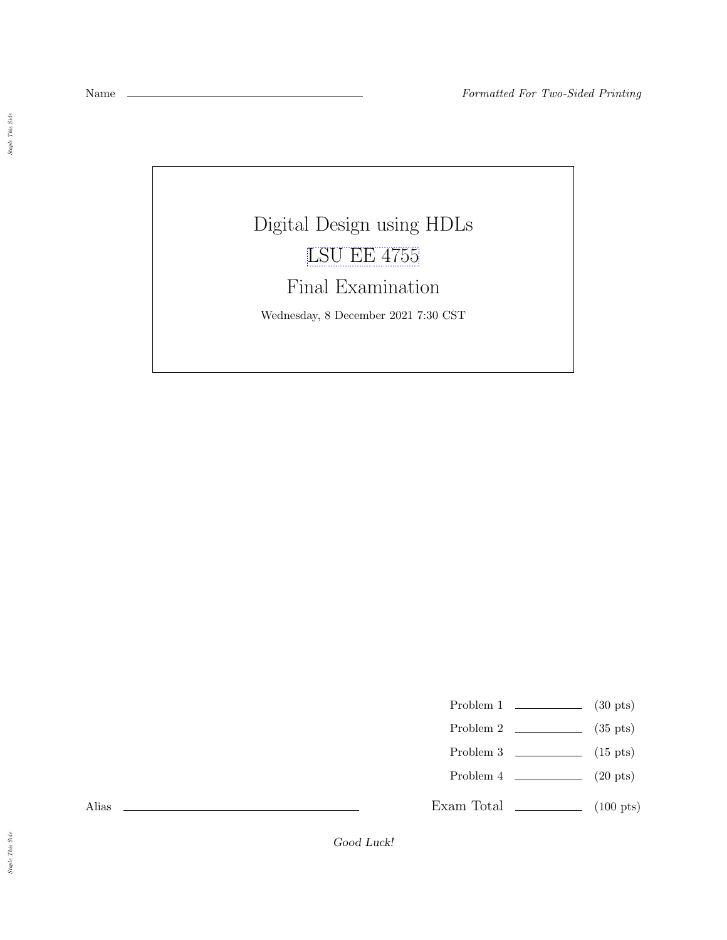# Digital Design using HDLs [LSU EE 4755](https://www.ece.lsu.edu/koppel/v/)

# Final Examination

Wednesday, 8 December 2021 7:30 CST

- Problem 1  $\qquad \qquad$  (30 pts)
- Problem 2 (35 pts)
- Problem 3  $\qquad \qquad$  (15 pts)
- Problem 4  $\qquad \qquad (20 \text{ pts})$
- Exam Total (100 pts)

Alias

Good Luck!

 $\emph{Shape This Side}$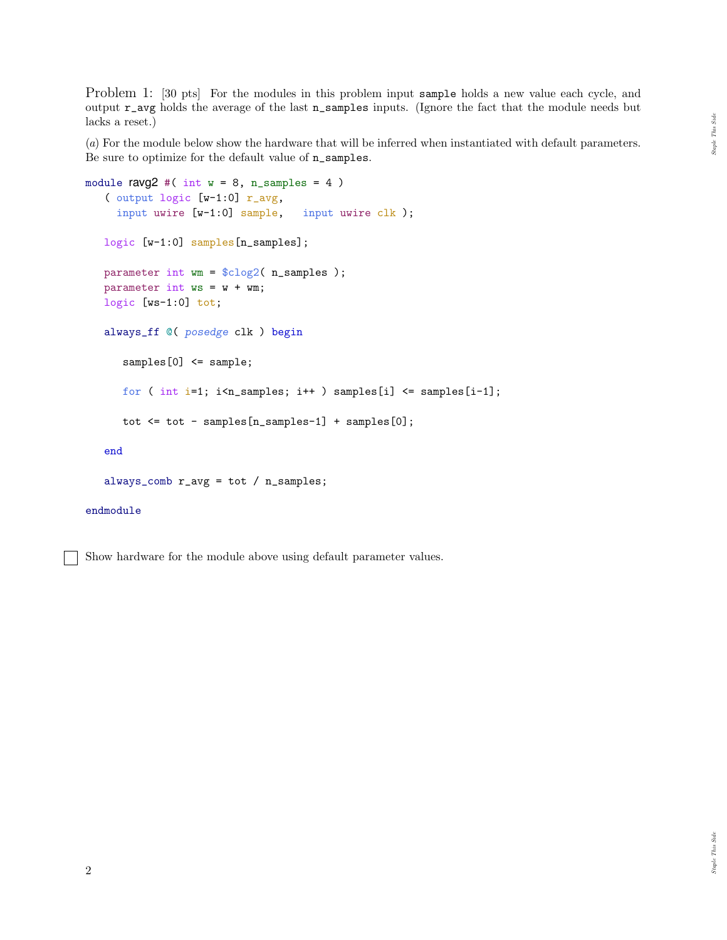Problem 1: [30 pts] For the modules in this problem input sample holds a new value each cycle, and output r\_avg holds the average of the last n\_samples inputs. (Ignore the fact that the module needs but lacks a reset.)

(a) For the module below show the hardware that will be inferred when instantiated with default parameters. Be sure to optimize for the default value of n\_samples.

```
module ravg2 \#( int w = 8, n\_samples = 4 )( output logic [w-1:0] r_{avg},
     input uwire [w-1:0] sample, input uwire clk );
   logic [w-1:0] samples[n_samples];
   parameter int wm = $clog2( n_samples );
   parameter int ws = w + w;
   logic [ws-1:0] tot;
   always_ff @( posedge clk ) begin
      samples[0] <= sample;
      for ( int i=1; i<n_samples; i++ ) samples[i] <= samples[i-1];
      tot \leq tot - samples[n_samples-1] + samples[0];
   end
   always_comb r_avg = tot / n_samples;
```
# endmodule

Show hardware for the module above using default parameter values.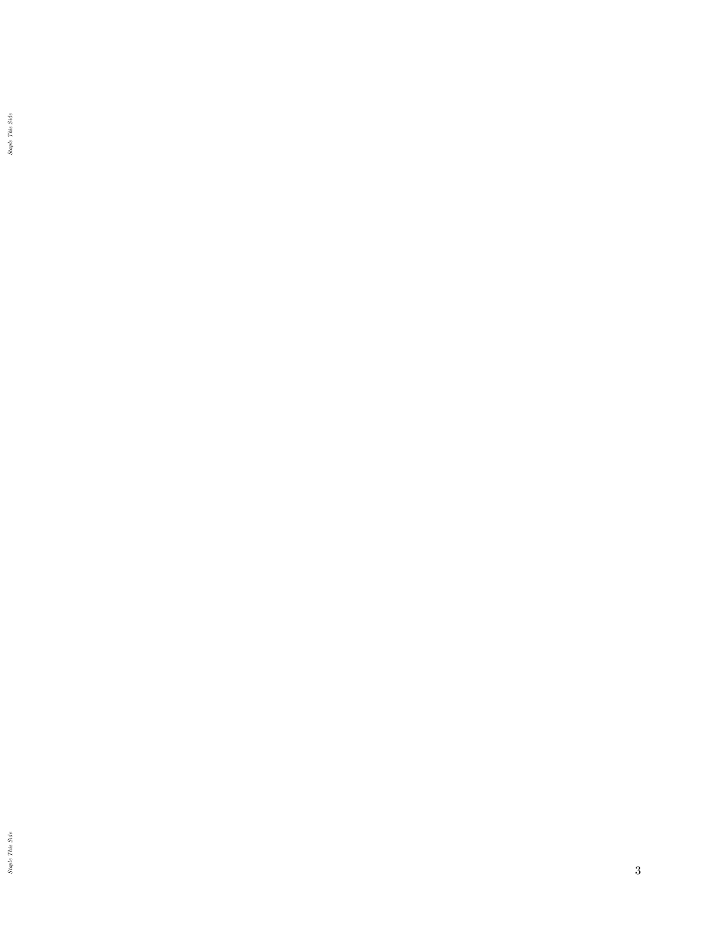Staple This Side Staple This Side Staple This Side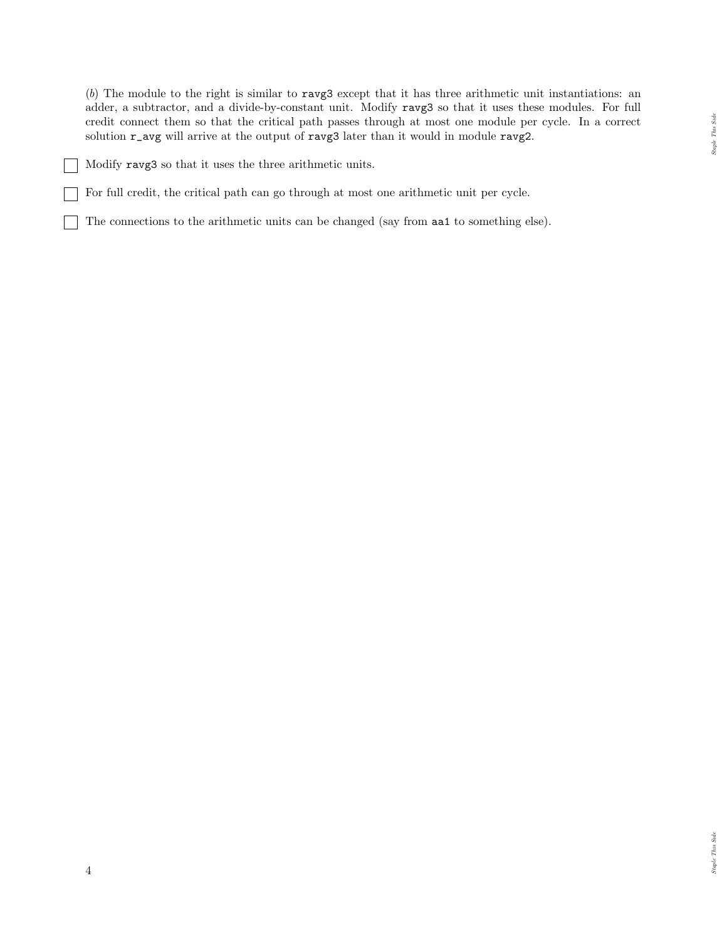(b) The module to the right is similar to ravg3 except that it has three arithmetic unit instantiations: an adder, a subtractor, and a divide-by-constant unit. Modify ravg3 so that it uses these modules. For full credit connect them so that the critical path passes through at most one module per cycle. In a correct solution r\_avg will arrive at the output of ravg3 later than it would in module ravg2.

Modify ravg3 so that it uses the three arithmetic units.

- For full credit, the critical path can go through at most one arithmetic unit per cycle.  $\mathbf{I}$
- The connections to the arithmetic units can be changed (say from aa1 to something else).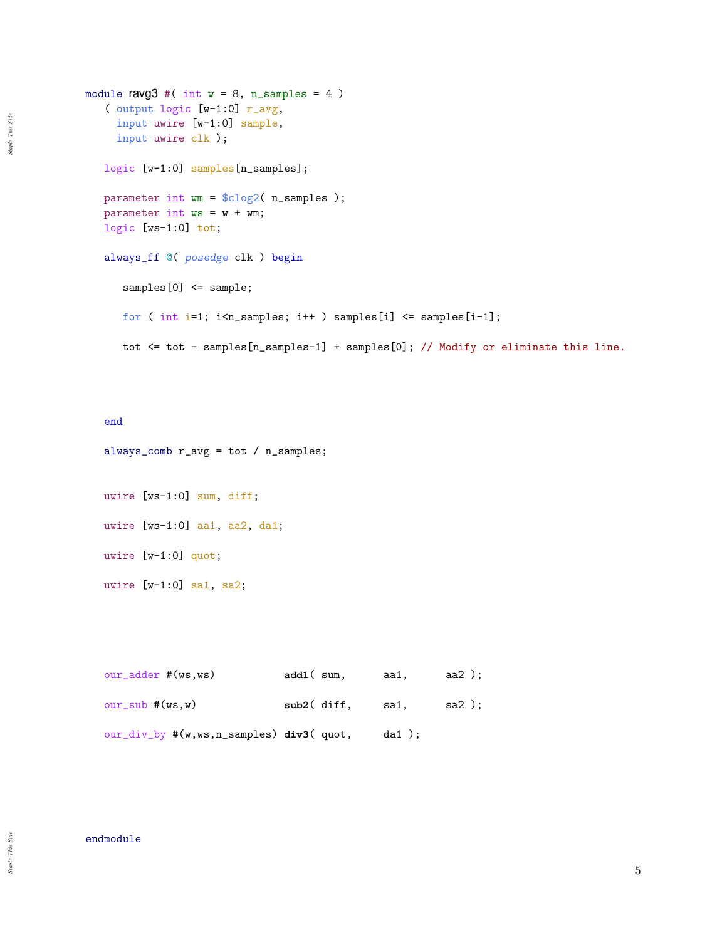```
Staple This Side
        Staple This Side Staple This Side
```

```
module ravg3 \#( int w = 8, n\_samples = 4)( output logic [w-1:0] r_avg,
     input uwire [w-1:0] sample,
     input uwire clk );
   logic [w-1:0] samples[n_samples];
   parameter int wm = $clog2( n_samples );
   parameter int ws = w + w;
   logic [ws-1:0] tot;
   always_ff @( posedge clk ) begin
      samples[0] <= sample;
      for ( int i=1; i<n_samples; i++ ) samples[i] <= samples[i-1];
      tot \le tot - samples[n_samples-1] + samples[0]; // Modify or eliminate this line.
```
## end

```
always_comb r_avg = tot / n_samples;
```

```
uwire [ws-1:0] sum, diff;
```

```
uwire [ws-1:0] aa1, aa2, da1;
```

```
uwire [w-1:0] quot;
```

```
uwire [w-1:0] sa1, sa2;
```

| $our_dder$ # $(ws,ws)$                   | add1(sum,   | aa1,     | $aa2$ ): |
|------------------------------------------|-------------|----------|----------|
| $our$ _sub # $(ws,w)$                    | sub2( diff, | sa1.     | $sa2$ ); |
| our_div_by #(w,ws,n_samples) div3( quot, |             | $da1$ ); |          |

#### endmodule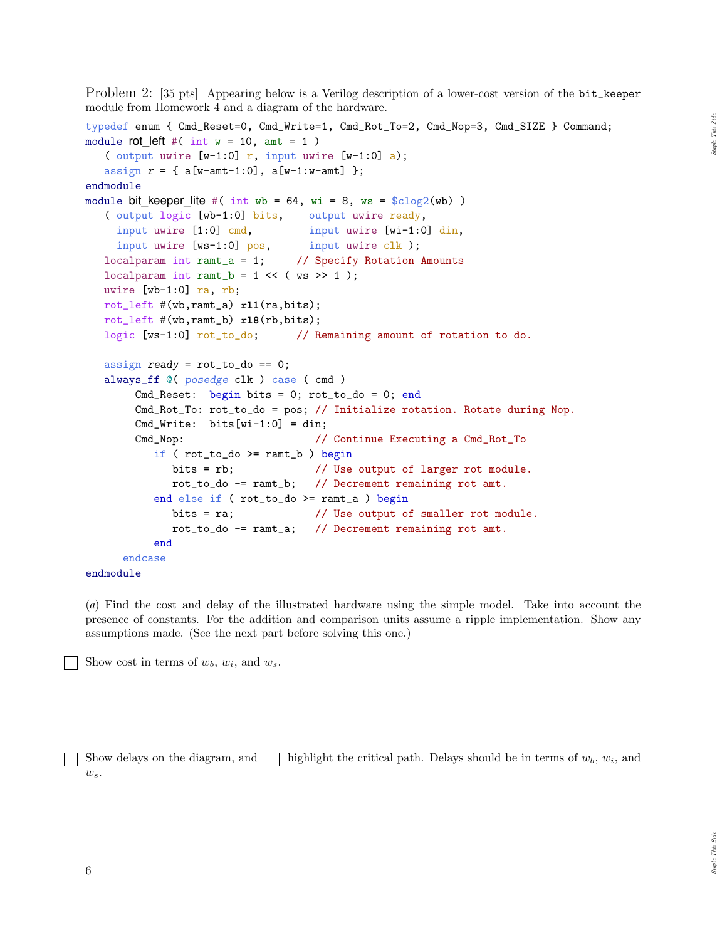Problem 2: [35 pts] Appearing below is a Verilog description of a lower-cost version of the bit\_keeper module from Homework 4 and a diagram of the hardware.

```
typedef enum { Cmd_Reset=0, Cmd_Write=1, Cmd_Rot_To=2, Cmd_Nop=3, Cmd_SIZE } Command;
module rot left #( int w = 10, amt = 1)
   ( output uwire [w-1:0] r, input uwire [w-1:0] a);
   assign r = \{ a[w-amt-1:0], a[w-1:w-amt] \};endmodule
module bit_keeper_lite #( int wb = 64, wi = 8, ws = clog2(wb))
   ( output logic [wb-1:0] bits, output uwire ready,
    input uwire [1:0] cmd, input uwire [wi-1:0] din,
    input uwire [ws-1:0] pos, input uwire clk );
  localparam int ramt_a = 1; // Specify Rotation Amounts
  localparam int ramt_b = 1 \lt\lt (ws >> 1);
  uwire [wb-1:0] ra, rb;
  rot_left #(wb,ramt_a) rl1(ra,bits);
  rot_left #(wb,ramt_b) rl8(rb,bits);
  logic [ws-1:0] rot_to_do; // Remaining amount of rotation to do.
  assign ready = rot_to_do == 0;
   always_ff @( posedge clk ) case ( cmd )
       Cmd_Reset: begin bits = 0; rot_to_do = 0; end
       Cmd_Rot_To: rot_to_do = pos; // Initialize rotation. Rotate during Nop.
       Cmd_Write: bits[wi-1:0] = din;Cmd_Nop: // Continue Executing a Cmd_Rot_To
          if (rot_to_do \geq ramt_b) begin
             bits = rb; \frac{1}{2} // Use output of larger rot module.
             rot_to_do -= ramt_b; // Decrement remaining rot amt.
          end else if ( rot_to_do >= ramt_a ) begin
             bits = ra; // Use output of smaller rot module.
             rot_to_do -= ramt_a; // Decrement remaining rot amt.
          end
     endcase
endmodule
```
(a) Find the cost and delay of the illustrated hardware using the simple model. Take into account the presence of constants. For the addition and comparison units assume a ripple implementation. Show any assumptions made. (See the next part before solving this one.)

Show cost in terms of  $w_b$ ,  $w_i$ , and  $w_s$ .

Show delays on the diagram, and  $\Box$  highlight the critical path. Delays should be in terms of  $w_b$ ,  $w_i$ , and  $w_s$ .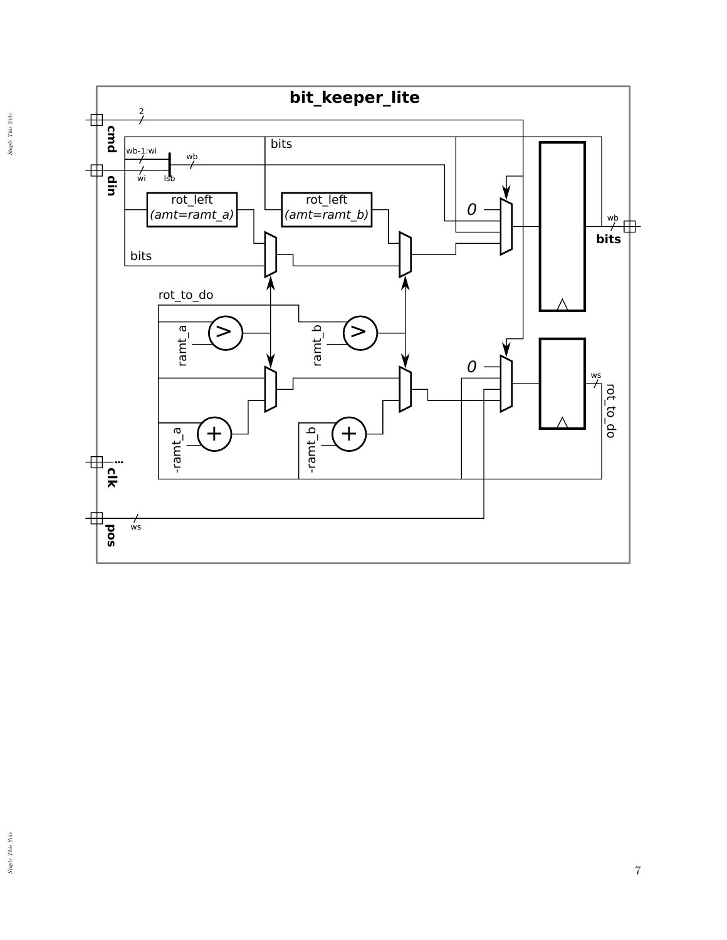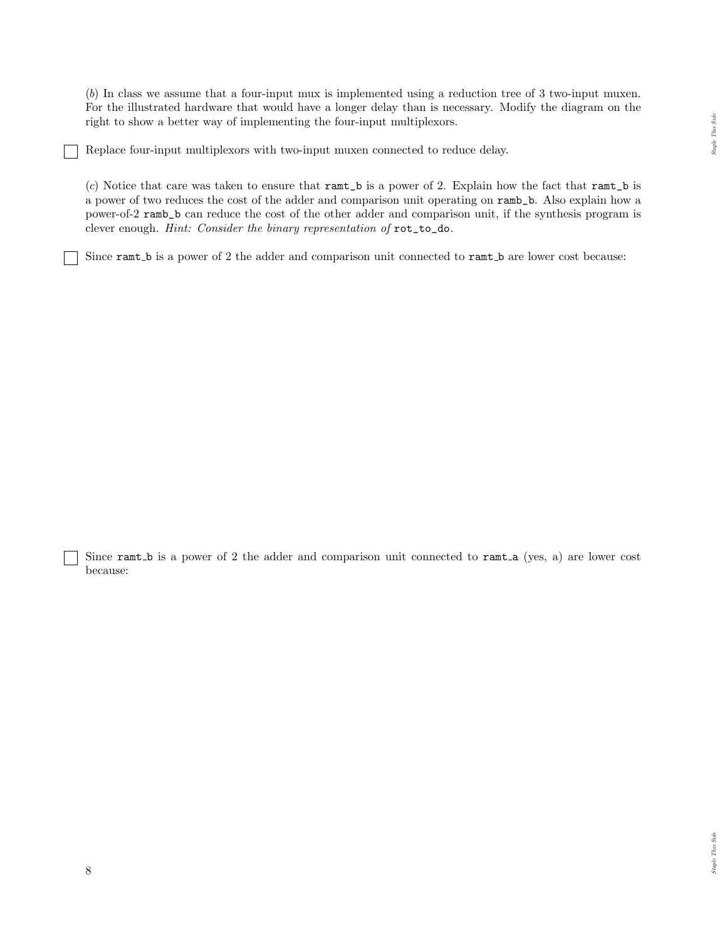Staple This Side

(b) In class we assume that a four-input mux is implemented using a reduction tree of 3 two-input muxen. For the illustrated hardware that would have a longer delay than is necessary. Modify the diagram on the right to show a better way of implementing the four-input multiplexors.

Replace four-input multiplexors with two-input muxen connected to reduce delay.

(c) Notice that care was taken to ensure that ramt\_b is a power of 2. Explain how the fact that ramt\_b is a power of two reduces the cost of the adder and comparison unit operating on ramb\_b. Also explain how a power-of-2 ramb\_b can reduce the cost of the other adder and comparison unit, if the synthesis program is clever enough. Hint: Consider the binary representation of rot\_to\_do.

Since ramt b is a power of 2 the adder and comparison unit connected to ramt b are lower cost because:

Since ramt b is a power of 2 the adder and comparison unit connected to ramt a (yes, a) are lower cost because: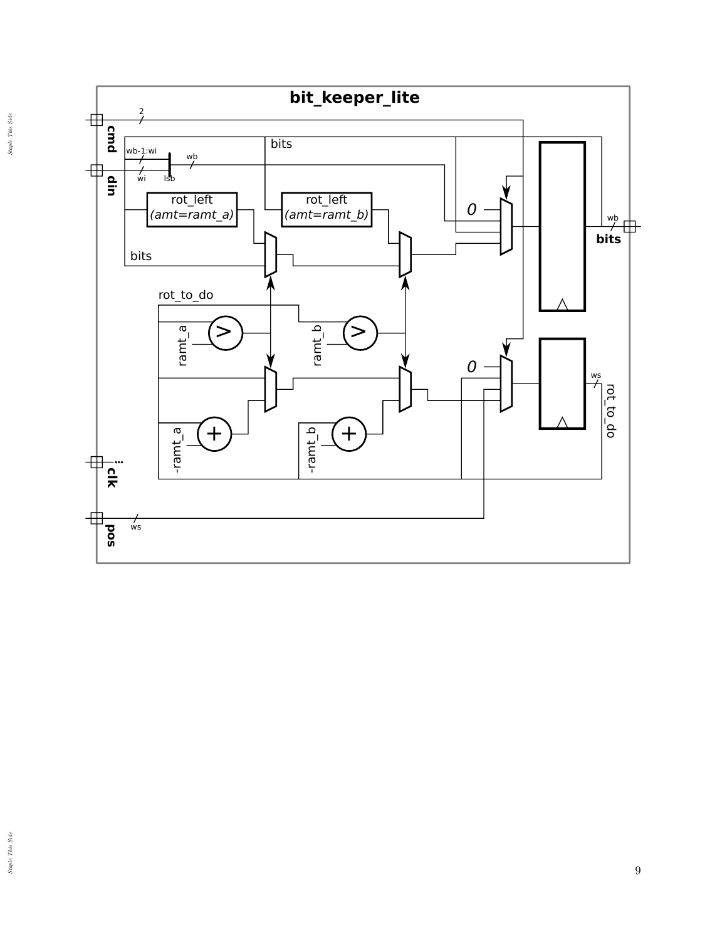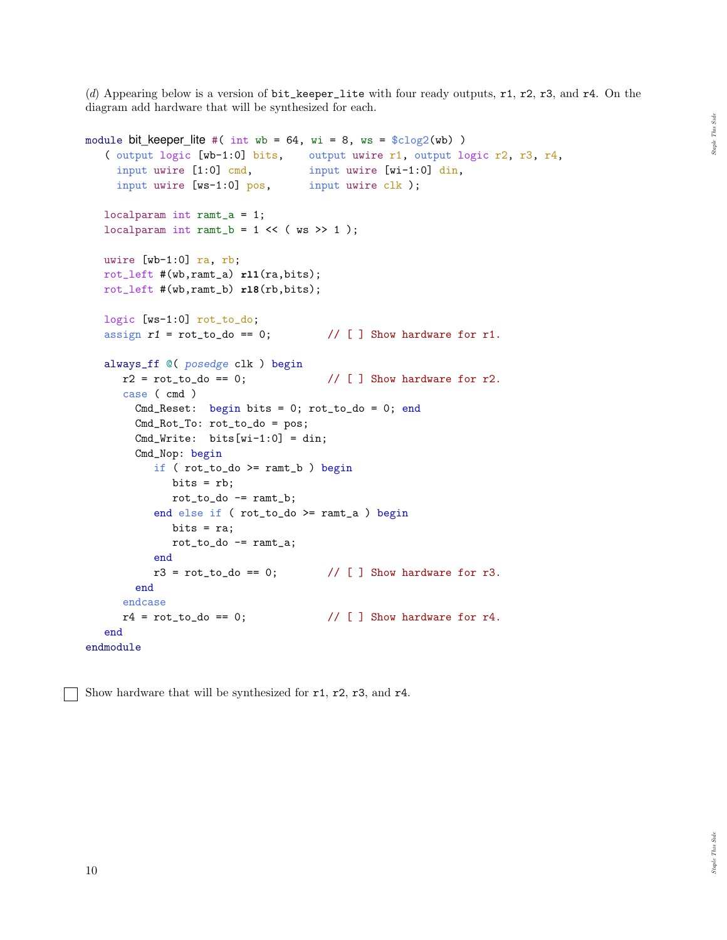(d) Appearing below is a version of  $bit\_keeper\_lit$  with four ready outputs, r1, r2, r3, and r4. On the diagram add hardware that will be synthesized for each.

```
module bit_keeper_lite #( int wb = 64, wi = 8, ws = clog2(wb))
   ( output logic [wb-1:0] bits, output uwire r1, output logic r2, r3, r4,
    input uwire [1:0] cmd, input uwire [wi-1:0] din,
    input uwire [ws-1:0] pos, input uwire clk );
  localparam int ramt_a = 1;
  localparam int ramt_b = 1 \lt\lt ( ws >> 1);
  uwire [wb-1:0] ra, rb;
  rot_left #(wb,ramt_a) rl1(ra,bits);
  rot_left #(wb,ramt_b) rl8(rb,bits);
  logic [ws-1:0] rot_to_do;
  assign r1 = rot_to_do == 0; // [ ] Show hardware for r1.
  always_ff @( posedge clk ) begin
     r2 = rot_to_do == 0; // [ ] Show hardware for r2.
     case ( cmd )
       Cmd_Reset: begin bits = 0; rot_to_do = 0; end
       Cmd_Rot_To: rot_to_do = pos;
       Cmd_Write: bits[wi-1:0] = din;Cmd_Nop: begin
          if ( rot_to_do >= ramt_b ) begin
             bits = rb;
             rot_to_do -= ramt_b;end else if ( rot_to_do >= ramt_a ) begin
             bits = ra;
             rot_to_do -= ramt_a;
          end
          r3 = rot_to_do == 0; // [ ] Show hardware for r3.
       end
     endcase
     r4 = rot_to_do == 0; // [ ] Show hardware for r4.
  end
endmodule
```
Show hardware that will be synthesized for r1, r2, r3, and r4.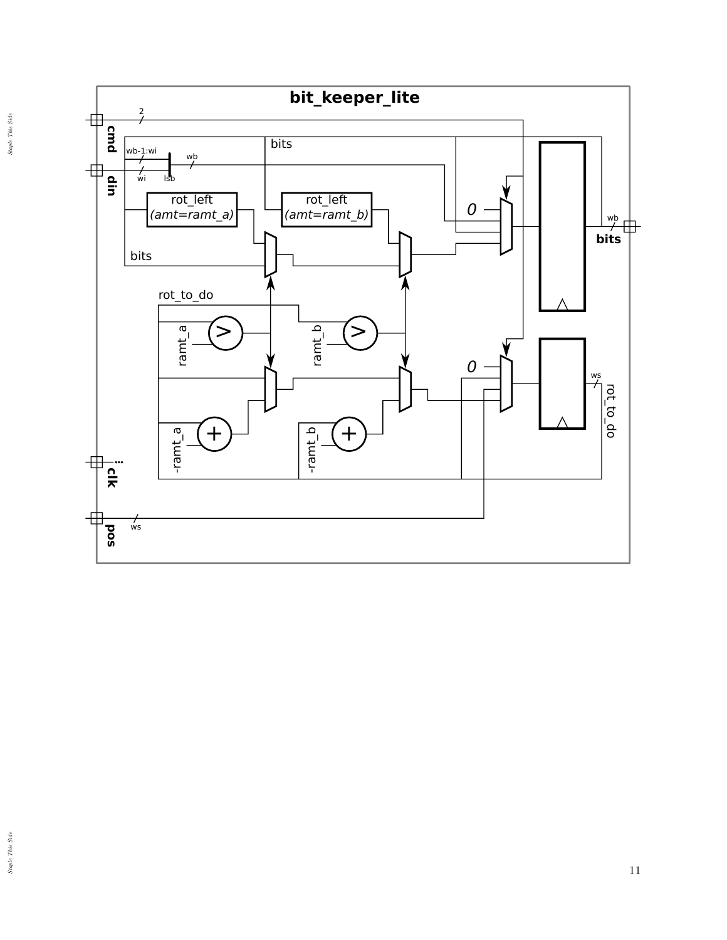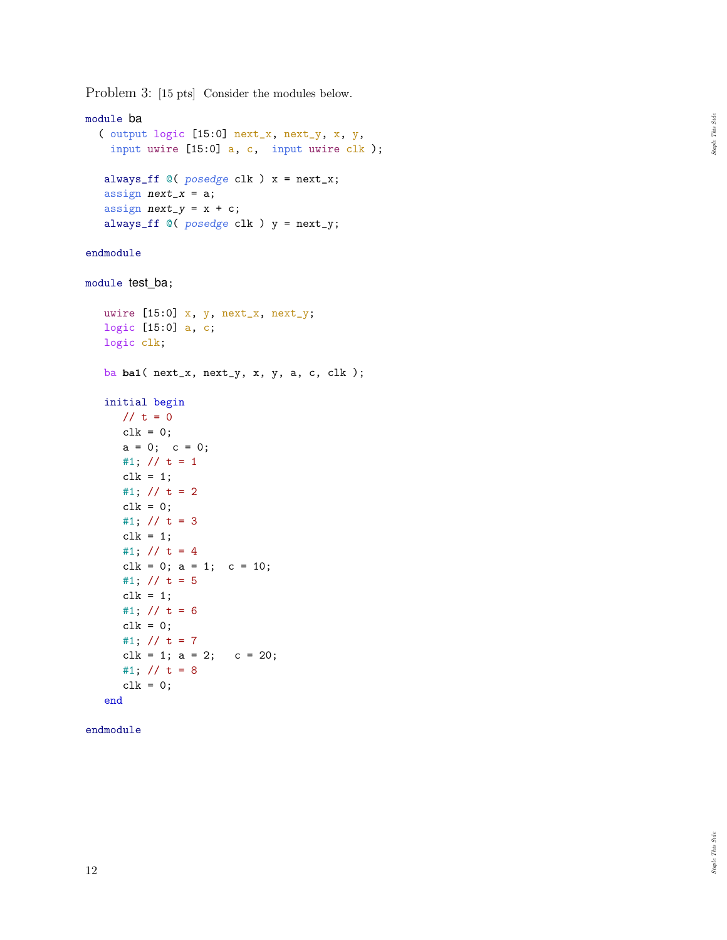Problem 3: [15 pts] Consider the modules below.

```
module ba ( output logic [15:0] next_x, next_y, x, y,
    input uwire [15:0] a, c, input uwire clk);
   always_ff @( posedge clk ) x = next_x;
   assign next_x = a;
   assign next_y = x + c;
   always_ff © ( posedge clk ) y = next_y;
endmodule
module test_ba
;
   uwire [15:0] x, y, next_x, next_y;
   logic [15:0] a, c;
   logic clk
;
   ba ba1( next_x, next_y, x, y, a, c, clk );
   initial begin
      // t = 0clk = 0;a = 0; c = 0;#1
; // t = 1
      \text{clk} = 1;#1
; // t = 2
      clk = 0;#1
; // t = 3
      clk = 1;
      #1
; // t = 4
      clk = 0; a = 1; c = 10;
      #1
; // t = 5
      clk = 1;#1
; // t = 6
      clk = 0;#1
; // t = 7
      clk = 1; a = 2; c = 20;
      #1
; // t = 8
      clk = 0;end
```

```
endmodule
```
Staple This Side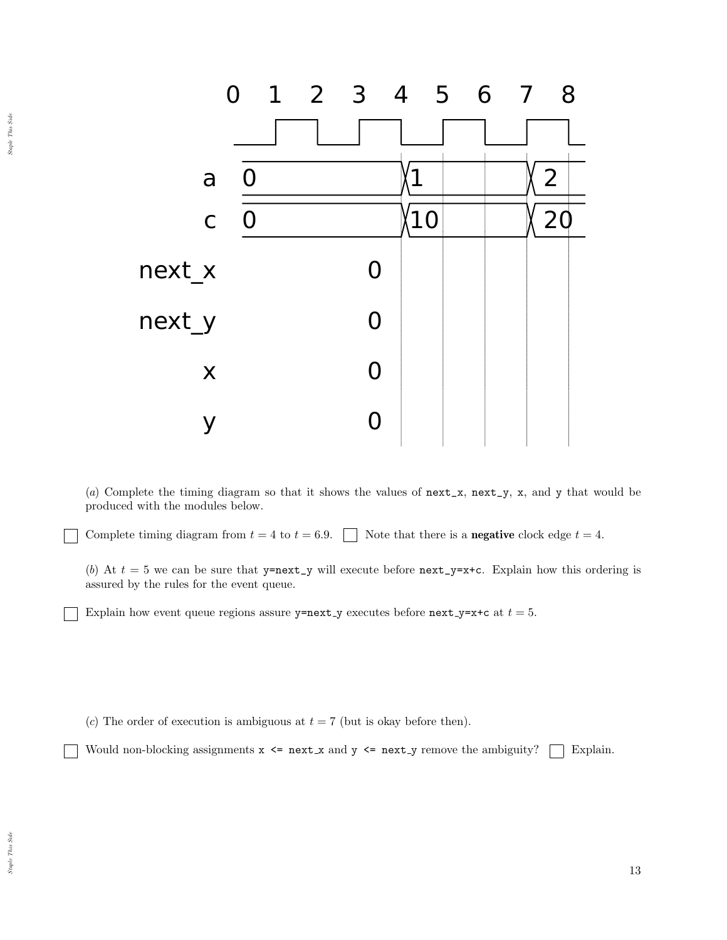



(a) Complete the timing diagram so that it shows the values of next\_x, next\_y, x, and y that would be produced with the modules below.

Complete timing diagram from  $t = 4$  to  $t = 6.9$ . Note that there is a **negative** clock edge  $t = 4$ .

(b) At  $t = 5$  we can be sure that y=next\_y will execute before next\_y=x+c. Explain how this ordering is assured by the rules for the event queue.

Explain how event queue regions assure y=next\_y executes before next\_y=x+c at  $t = 5$ .

(c) The order of execution is ambiguous at  $t = 7$  (but is okay before then).

Would non-blocking assignments  $x \leq \texttt{next} x$  and  $y \leq \texttt{next} y$  remove the ambiguity?  $\Box$  Explain.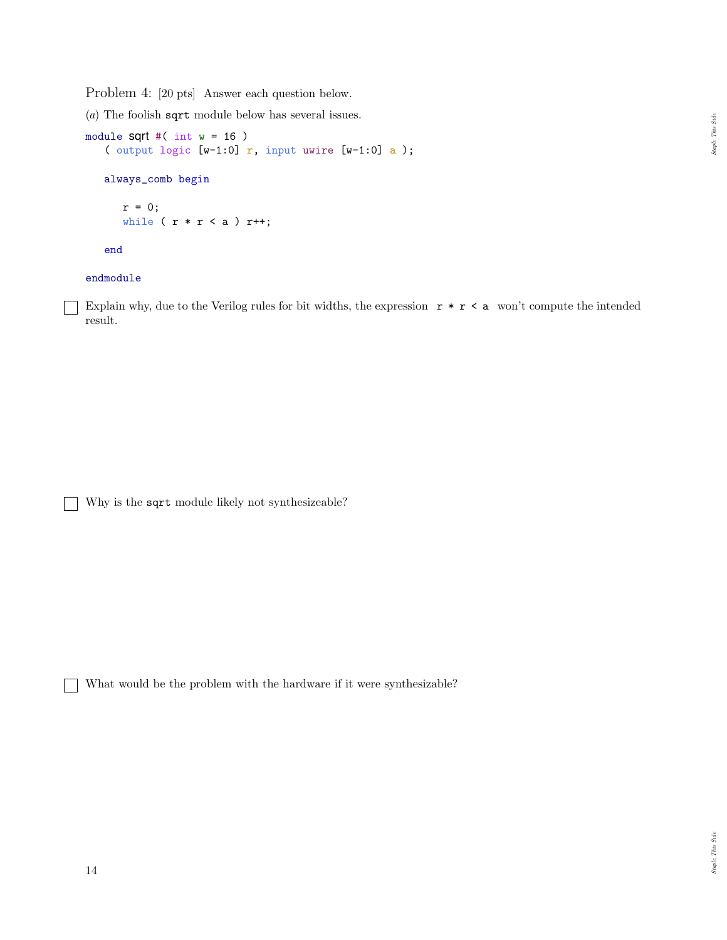Problem 4: [20 pts] Answer each question below.

(a) The foolish sqrt module below has several issues.

```
module sqrt #( int w = 16 )
   ( output logic [w-1:0] r, input uwire [w-1:0] a);
   always_comb begin
     r = 0;
     while (r * r < a) r++;end
```
endmodule

Explain why, due to the Verilog rules for bit widths, the expression  $r * r < a$  won't compute the intended result.

Why is the sqrt module likely not synthesizeable?

What would be the problem with the hardware if it were synthesizable?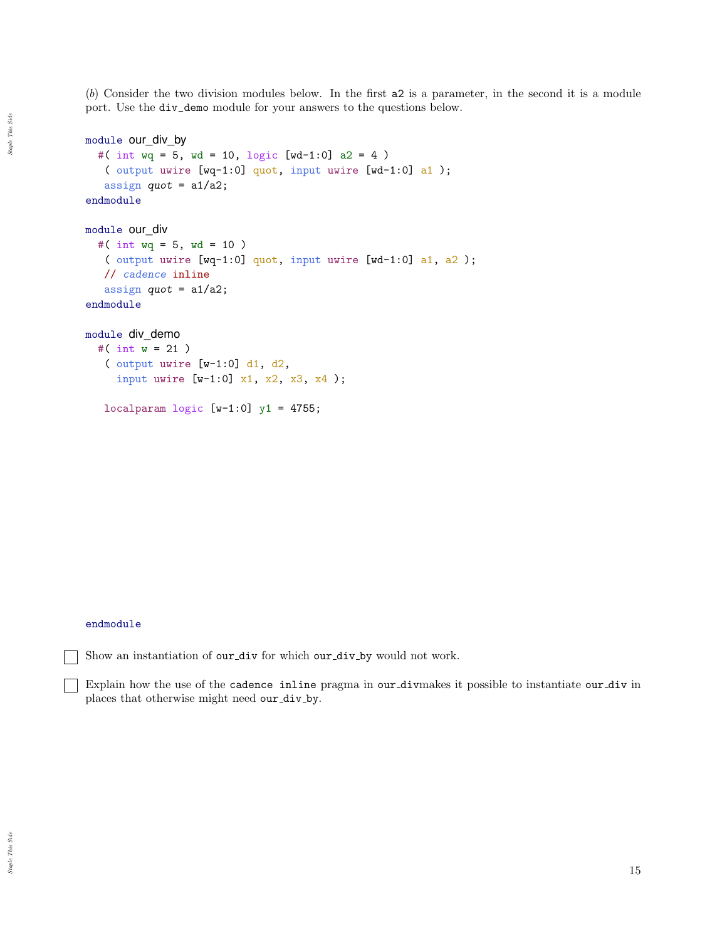(b) Consider the two division modules below. In the first a2 is a parameter, in the second it is a module port. Use the div\_demo module for your answers to the questions below.

## module our\_div\_by

```
#( int wq = 5, wd = 10, logic [wd-1:0] a2 = 4)
   ( output uwire [wq-1:0] quot, input uwire [wd-1:0] a1 );
   assign quot = a1/a2;endmodule
```
# module our\_div

```
#( int wq = 5, wd = 10 )
   ( output uwire [wq-1:0] quot, input uwire [wd-1:0] a1, a2 );
  // cadence inline
   assign quot = a1/a2;
endmodule
```
# module div\_demo

```
#( int w = 21 )
 ( output uwire [w-1:0] d1, d2,
   input uwire [v-1:0] x1, x2, x3, x4);
```

```
localparam logic [w-1:0] y1 = 4755;
```
# endmodule

Show an instantiation of our\_div for which our\_div\_by would not work.

Explain how the use of the cadence inline pragma in our divmakes it possible to instantiate our div in places that otherwise might need our\_div\_by.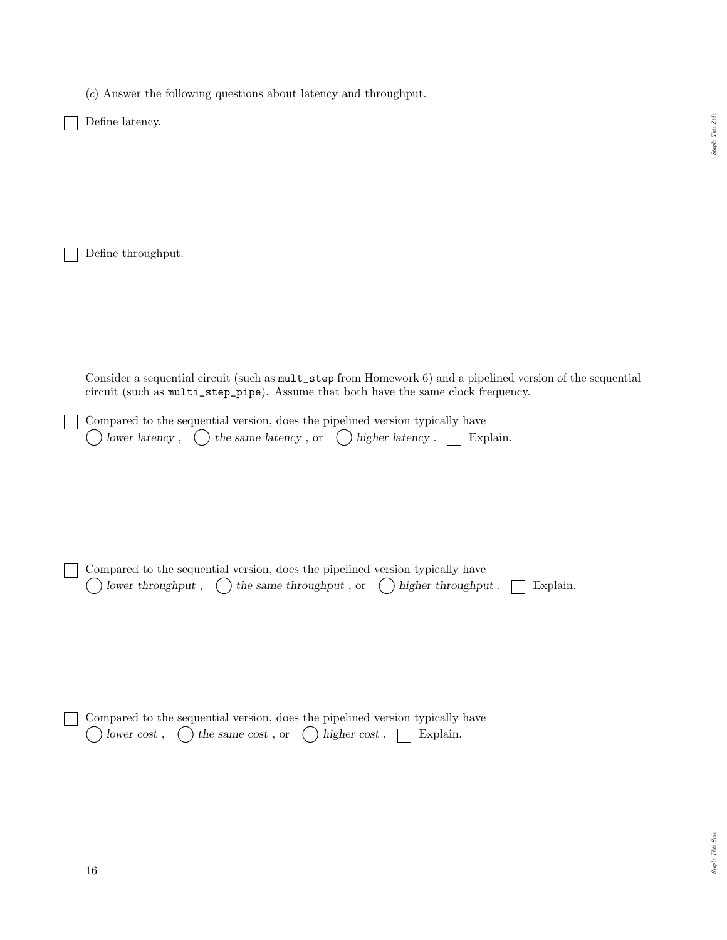(c) Answer the following questions about latency and throughput.

Define latency.

Define throughput.

Consider a sequential circuit (such as mult\_step from Homework 6) and a pipelined version of the sequential circuit (such as multi\_step\_pipe). Assume that both have the same clock frequency.

| Compared to the sequential version, does the pipelined version typically have          |  |
|----------------------------------------------------------------------------------------|--|
| () lower latency, () the same latency, or $\bigcap$ higher latency. $\bigcap$ Explain. |  |

Compared to the sequential version, does the pipelined version typically have  $\bigcirc$  lower throughput ,  $\bigcirc$  the same throughput , or  $\bigcirc$  higher throughput .  $\bigcirc$  Explain.

Compared to the sequential version, does the pipelined version typically have  $\bigcirc$  lower cost ,  $\bigcirc$  the same cost , or  $\bigcirc$  higher cost .  $\hfill\blacksquare$  <br>Explain.